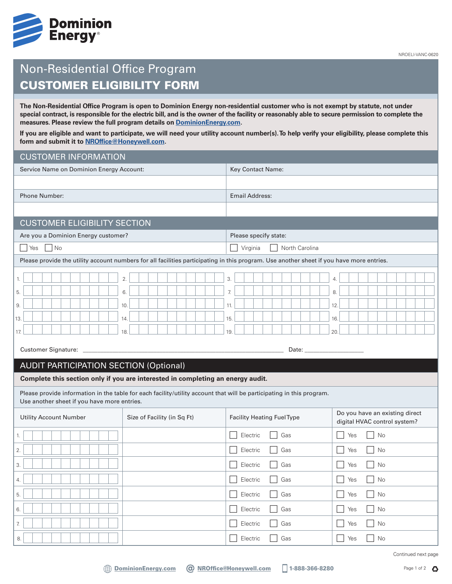

## Non-Residential Office Program CUSTOMER ELIGIBILITY FORM

**The Non-Residential Office Program is open to Dominion Energy non-residential customer who is not exempt by statute, not under special contract, is responsible for the electric bill, and is the owner of the facility or reasonably able to secure permission to complete the measures. Please review the full program details on [DominionEnergy.com.](https://www.dominionenergy.com)** 

**If you are eligible and want to participate, we will need your utility account number(s). To help verify your eligibility, please complete this form and submit it to NROffice@Honeywell.com.**

| <b>CUSTOMER INFORMATION</b>                                                                                                                                                                                                                             |                               |                                               |                                                                |  |  |
|---------------------------------------------------------------------------------------------------------------------------------------------------------------------------------------------------------------------------------------------------------|-------------------------------|-----------------------------------------------|----------------------------------------------------------------|--|--|
| Service Name on Dominion Energy Account:                                                                                                                                                                                                                |                               | Key Contact Name:                             |                                                                |  |  |
|                                                                                                                                                                                                                                                         |                               |                                               |                                                                |  |  |
| Phone Number:                                                                                                                                                                                                                                           |                               | <b>Email Address:</b>                         |                                                                |  |  |
|                                                                                                                                                                                                                                                         |                               |                                               |                                                                |  |  |
| <b>CUSTOMER ELIGIBILITY SECTION</b>                                                                                                                                                                                                                     |                               |                                               |                                                                |  |  |
| Are you a Dominion Energy customer?                                                                                                                                                                                                                     |                               | Please specify state:                         |                                                                |  |  |
| N <sub>o</sub><br>  Yes                                                                                                                                                                                                                                 |                               | Virginia<br>North Carolina                    |                                                                |  |  |
| Please provide the utility account numbers for all facilities participating in this program. Use another sheet if you have more entries.                                                                                                                |                               |                                               |                                                                |  |  |
| 1.<br>5.<br>9.<br>13.<br>17.<br><b>Customer Signature:</b><br><b>AUDIT PARTICIPATION SECTION (Optional)</b>                                                                                                                                             | 2.<br>6.<br>10.<br>14.<br>18. | 3.<br>7.<br>11.<br>15.<br>19.<br>Date: $\_\_$ | 4.<br>8.<br>12.<br>16.<br>20.                                  |  |  |
| Complete this section only if you are interested in completing an energy audit.<br>Please provide information in the table for each facility/utility account that will be participating in this program.<br>Use another sheet if you have more entries. |                               |                                               |                                                                |  |  |
| <b>Utility Account Number</b>                                                                                                                                                                                                                           | Size of Facility (in Sq Ft)   | <b>Facility Heating Fuel Type</b>             | Do you have an existing direct<br>digital HVAC control system? |  |  |
| 1.                                                                                                                                                                                                                                                      |                               | Electric<br>Gas                               | No<br>Yes<br>×.                                                |  |  |
| 2.                                                                                                                                                                                                                                                      |                               | Electric<br>Gas                               | No<br>$\sim$<br>Yes                                            |  |  |
| 3.                                                                                                                                                                                                                                                      |                               | Electric<br>Gas                               | No<br>Yes                                                      |  |  |
| 4.                                                                                                                                                                                                                                                      |                               | $\Box$ Electric<br>$\Box$ Gas                 | $\Box$ Yes $\Box$ No                                           |  |  |
| 5.                                                                                                                                                                                                                                                      |                               | Electric<br>Gas                               | $\Box$ Yes<br>$\Box$ No                                        |  |  |
| 6.                                                                                                                                                                                                                                                      |                               | Electric<br>Gas                               | $\Box$ Yes<br>$\Box$ No                                        |  |  |
| 7.                                                                                                                                                                                                                                                      |                               | Electric<br>Gas                               | $\Box$ Yes<br>$\blacksquare$ No                                |  |  |
| $8. \,$                                                                                                                                                                                                                                                 |                               | Electric<br>Gas                               | $\Box$ Yes<br>$\Box$ No                                        |  |  |

Continued next page